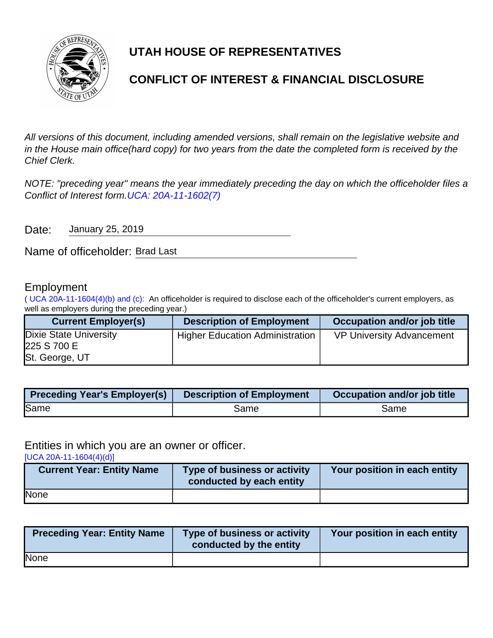

# **UTAH HOUSE OF REPRESENTATIVES**

# **CONFLICT OF INTEREST & FINANCIAL DISCLOSURE**

All versions of this document, including amended versions, shall remain on the legislative website and in the House main office(hard copy) for two years from the date the completed form is received by the Chief Clerk.

NOTE: "preceding year" means the year immediately preceding the day on which the officeholder files a Conflict of Interest form.[UCA: 20A-11-1602\(7\)](http://www.le.utah.gov/xcode/Title20A/Chapter11/20A-11-S1602.html)

Date: January 25, 2019

Name of officeholder: Brad Last

## Employment

( [UCA 20A-11-1604\(4\)\(b\) and \(c\):](https://le.utah.gov/xcode/Title20A/Chapter11/20A-11-S1604.html) An officeholder is required to disclose each of the officeholder's current employers, as well as employers during the preceding year.)

| <b>Current Employer(s)</b>                                     | <b>Description of Employment</b>       | Occupation and/or job title      |
|----------------------------------------------------------------|----------------------------------------|----------------------------------|
| <b>Dixie State University</b><br>225 S 700 E<br>St. George, UT | <b>Higher Education Administration</b> | <b>VP University Advancement</b> |

| <b>Preceding Year's Employer(s)</b> | <b>Description of Employment</b> | Occupation and/or job title |
|-------------------------------------|----------------------------------|-----------------------------|
| Same                                | Same                             | Same                        |

### Entities in which you are an owner or officer.

[\[UCA 20A-11-1604\(4\)\(d\)\]](https://le.utah.gov/xcode/Title20A/Chapter11/20A-11-S1604.html)

| <b>Current Year: Entity Name</b> | Type of business or activity<br>conducted by each entity | Your position in each entity |
|----------------------------------|----------------------------------------------------------|------------------------------|
| None                             |                                                          |                              |

| <b>Preceding Year: Entity Name</b> | Type of business or activity<br>conducted by the entity | Your position in each entity |
|------------------------------------|---------------------------------------------------------|------------------------------|
| None                               |                                                         |                              |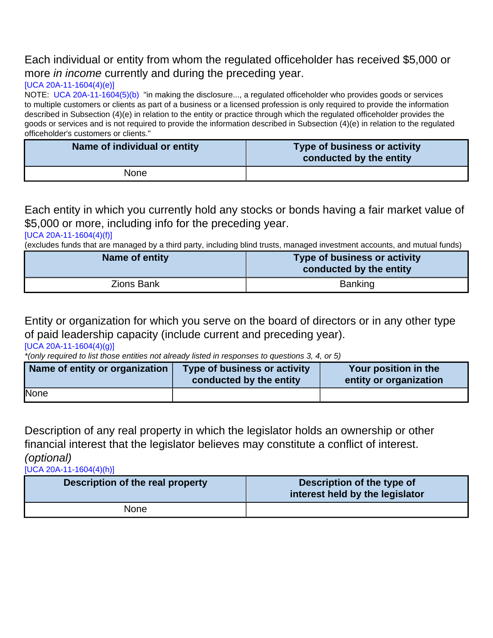# Each individual or entity from whom the regulated officeholder has received \$5,000 or more *in income* currently and during the preceding year.

### [\[UCA 20A-11-1604\(4\)\(e\)\]](https://le.utah.gov/xcode/Title20A/Chapter11/20A-11-S1604.html)

NOTE: [UCA 20A-11-1604\(5\)\(b\)](http://le.utah.gov/xcode/Title20A/Chapter11/20A-11-S1604.html?v=C20A-11-S1604_2014040320140313) "in making the disclosure..., a regulated officeholder who provides goods or services to multiple customers or clients as part of a business or a licensed profession is only required to provide the information described in Subsection (4)(e) in relation to the entity or practice through which the regulated officeholder provides the goods or services and is not required to provide the information described in Subsection (4)(e) in relation to the regulated officeholder's customers or clients."

| Name of individual or entity | Type of business or activity<br>conducted by the entity |
|------------------------------|---------------------------------------------------------|
| None                         |                                                         |

Each entity in which you currently hold any stocks or bonds having a fair market value of \$5,000 or more, including info for the preceding year.

#### [\[UCA 20A-11-1604\(4\)\(f\)\]](https://le.utah.gov/xcode/Title20A/Chapter11/20A-11-S1604.html)

(excludes funds that are managed by a third party, including blind trusts, managed investment accounts, and mutual funds)

| Name of entity | Type of business or activity<br>conducted by the entity |
|----------------|---------------------------------------------------------|
| Zions Bank     | Banking                                                 |

Entity or organization for which you serve on the board of directors or in any other type of paid leadership capacity (include current and preceding year).

[\[UCA 20A-11-1604\(4\)\(g\)\]](https://le.utah.gov/xcode/Title20A/Chapter11/20A-11-S1604.html)

\*(only required to list those entities not already listed in responses to questions 3, 4, or 5)

| Name of entity or organization | Type of business or activity<br>conducted by the entity | Your position in the<br>entity or organization |
|--------------------------------|---------------------------------------------------------|------------------------------------------------|
| None                           |                                                         |                                                |

Description of any real property in which the legislator holds an ownership or other financial interest that the legislator believes may constitute a conflict of interest. (optional)

[\[UCA 20A-11-1604\(4\)\(h\)\]](https://le.utah.gov/xcode/Title20A/Chapter11/20A-11-S1604.html)

| Description of the real property | Description of the type of<br>interest held by the legislator |
|----------------------------------|---------------------------------------------------------------|
| None                             |                                                               |